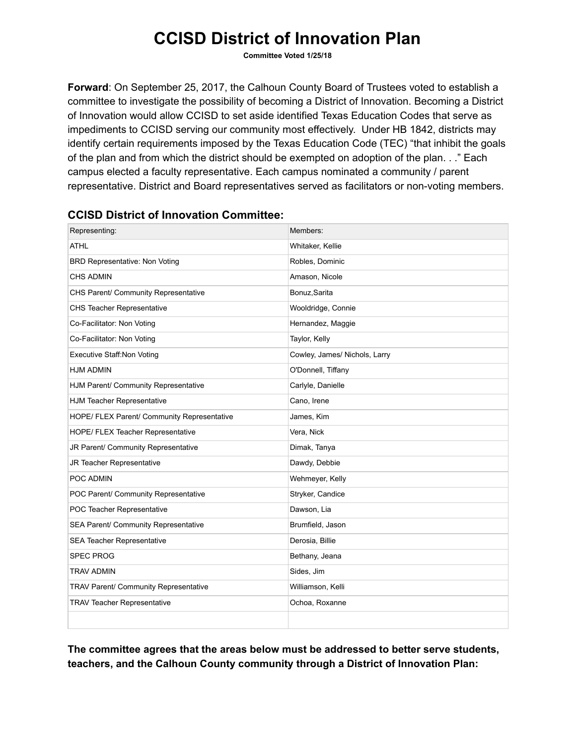Committee Voted 1/25/18

Forward: On September 25, 2017, the Calhoun County Board of Trustees voted to establish a committee to investigate the possibility of becoming a District of Innovation. Becoming a District of Innovation would allow CCISD to set aside identified Texas Education Codes that serve as impediments to CCISD serving our community most effectively. Under HB 1842, districts may identify certain requirements imposed by the Texas Education Code (TEC) "that inhibit the goals of the plan and from which the district should be exempted on adoption of the plan. . ." Each campus elected a faculty representative. Each campus nominated a community / parent representative. District and Board representatives served as facilitators or non-voting members.

| Representing:                               | Members:                      |
|---------------------------------------------|-------------------------------|
| <b>ATHL</b>                                 | Whitaker, Kellie              |
| <b>BRD Representative: Non Voting</b>       | Robles, Dominic               |
| <b>CHS ADMIN</b>                            | Amason, Nicole                |
| CHS Parent/ Community Representative        | Bonuz, Sarita                 |
| <b>CHS Teacher Representative</b>           | Wooldridge, Connie            |
| Co-Facilitator: Non Voting                  | Hernandez, Maggie             |
| Co-Facilitator: Non Voting                  | Taylor, Kelly                 |
| <b>Executive Staff:Non Voting</b>           | Cowley, James/ Nichols, Larry |
| <b>HJM ADMIN</b>                            | O'Donnell, Tiffany            |
| HJM Parent/ Community Representative        | Carlyle, Danielle             |
| HJM Teacher Representative                  | Cano, Irene                   |
| HOPE/ FLEX Parent/ Community Representative | James, Kim                    |
| HOPE/ FLEX Teacher Representative           | Vera, Nick                    |
| JR Parent/ Community Representative         | Dimak, Tanya                  |
| JR Teacher Representative                   | Dawdy, Debbie                 |
| POC ADMIN                                   | Wehmeyer, Kelly               |
| POC Parent/ Community Representative        | Stryker, Candice              |
| POC Teacher Representative                  | Dawson, Lia                   |
| SEA Parent/ Community Representative        | Brumfield, Jason              |
| SEA Teacher Representative                  | Derosia, Billie               |
| <b>SPEC PROG</b>                            | Bethany, Jeana                |
| <b>TRAV ADMIN</b>                           | Sides, Jim                    |
| TRAV Parent/ Community Representative       | Williamson, Kelli             |
| <b>TRAV Teacher Representative</b>          | Ochoa, Roxanne                |
|                                             |                               |

### CCISD District of Innovation Committee:

The committee agrees that the areas below must be addressed to better serve students, teachers, and the Calhoun County community through a District of Innovation Plan: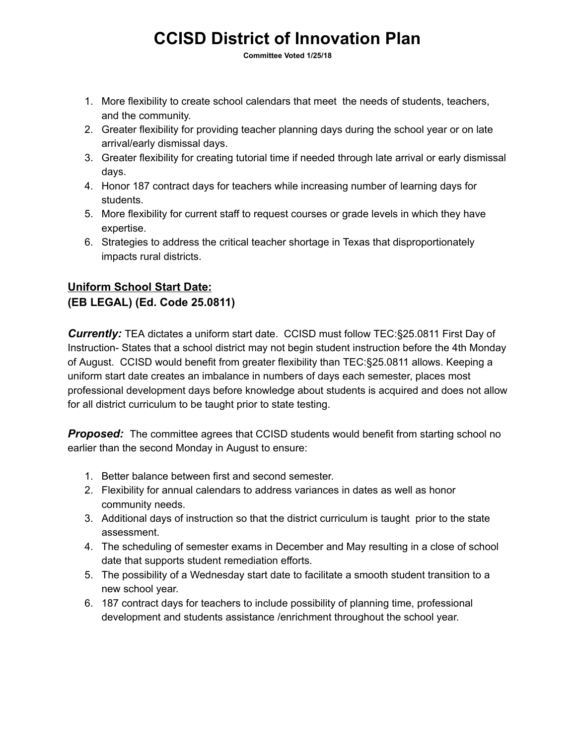Committee Voted 1/25/18

- 1. More flexibility to create school calendars that meet the needs of students, teachers, and the community.
- 2. Greater flexibility for providing teacher planning days during the school year or on late arrival/early dismissal days.
- 3. Greater flexibility for creating tutorial time if needed through late arrival or early dismissal days.
- 4. Honor 187 contract days for teachers while increasing number of learning days for students.
- 5. More flexibility for current staff to request courses or grade levels in which they have expertise.
- 6. Strategies to address the critical teacher shortage in Texas that disproportionately impacts rural districts.

## Uniform School Start Date: (EB LEGAL) (Ed. Code 25.0811)

**Currently:** TEA dictates a uniform start date. CCISD must follow TEC:§25.0811 First Day of Instruction- States that a school district may not begin student instruction before the 4th Monday of August. CCISD would benefit from greater flexibility than TEC:§25.0811 allows. Keeping a uniform start date creates an imbalance in numbers of days each semester, places most professional development days before knowledge about students is acquired and does not allow for all district curriculum to be taught prior to state testing.

**Proposed:** The committee agrees that CCISD students would benefit from starting school no earlier than the second Monday in August to ensure:

- 1. Better balance between first and second semester.
- 2. Flexibility for annual calendars to address variances in dates as well as honor community needs.
- 3. Additional days of instruction so that the district curriculum is taught prior to the state assessment.
- 4. The scheduling of semester exams in December and May resulting in a close of school date that supports student remediation efforts.
- 5. The possibility of a Wednesday start date to facilitate a smooth student transition to a new school year.
- 6. 187 contract days for teachers to include possibility of planning time, professional development and students assistance /enrichment throughout the school year.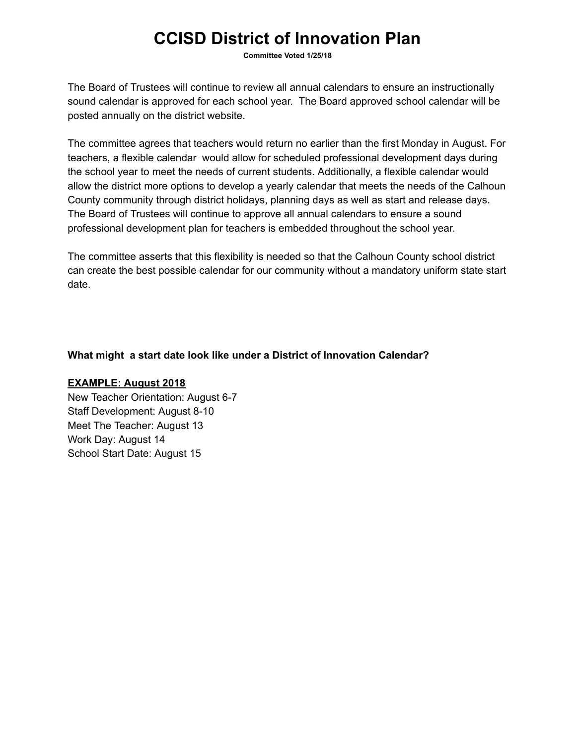Committee Voted 1/25/18

The Board of Trustees will continue to review all annual calendars to ensure an instructionally sound calendar is approved for each school year. The Board approved school calendar will be posted annually on the district website.

The committee agrees that teachers would return no earlier than the first Monday in August. For teachers, a flexible calendar would allow for scheduled professional development days during the school year to meet the needs of current students. Additionally, a flexible calendar would allow the district more options to develop a yearly calendar that meets the needs of the Calhoun County community through district holidays, planning days as well as start and release days. The Board of Trustees will continue to approve all annual calendars to ensure a sound professional development plan for teachers is embedded throughout the school year.

The committee asserts that this flexibility is needed so that the Calhoun County school district can create the best possible calendar for our community without a mandatory uniform state start date.

### What might a start date look like under a District of Innovation Calendar?

#### EXAMPLE: August 2018

New Teacher Orientation: August 6-7 Staff Development: August 8-10 Meet The Teacher: August 13 Work Day: August 14 School Start Date: August 15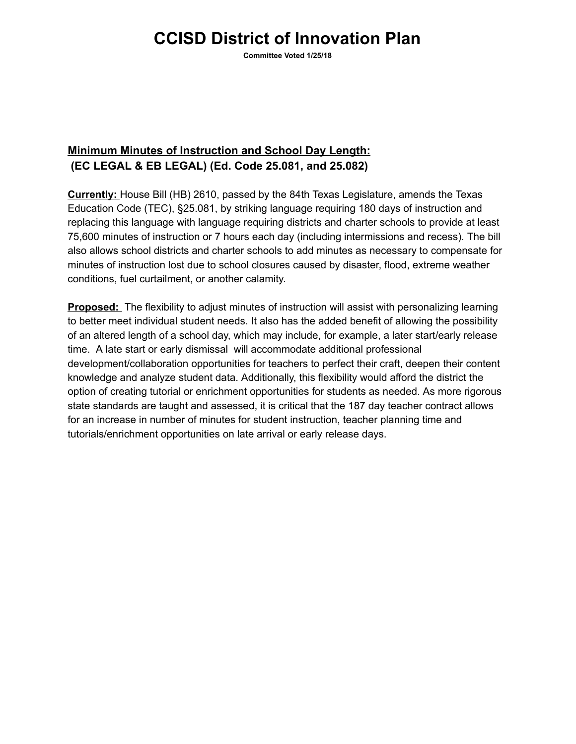Committee Voted 1/25/18

## Minimum Minutes of Instruction and School Day Length: (EC LEGAL & EB LEGAL) (Ed. Code 25.081, and 25.082)

Currently: House Bill (HB) 2610, passed by the 84th Texas Legislature, amends the Texas Education Code (TEC), §25.081, by striking language requiring 180 days of instruction and replacing this language with language requiring districts and charter schools to provide at least 75,600 minutes of instruction or 7 hours each day (including intermissions and recess). The bill also allows school districts and charter schools to add minutes as necessary to compensate for minutes of instruction lost due to school closures caused by disaster, flood, extreme weather conditions, fuel curtailment, or another calamity.

Proposed: The flexibility to adjust minutes of instruction will assist with personalizing learning to better meet individual student needs. It also has the added benefit of allowing the possibility of an altered length of a school day, which may include, for example, a later start/early release time. A late start or early dismissal will accommodate additional professional development/collaboration opportunities for teachers to perfect their craft, deepen their content knowledge and analyze student data. Additionally, this flexibility would afford the district the option of creating tutorial or enrichment opportunities for students as needed. As more rigorous state standards are taught and assessed, it is critical that the 187 day teacher contract allows for an increase in number of minutes for student instruction, teacher planning time and tutorials/enrichment opportunities on late arrival or early release days.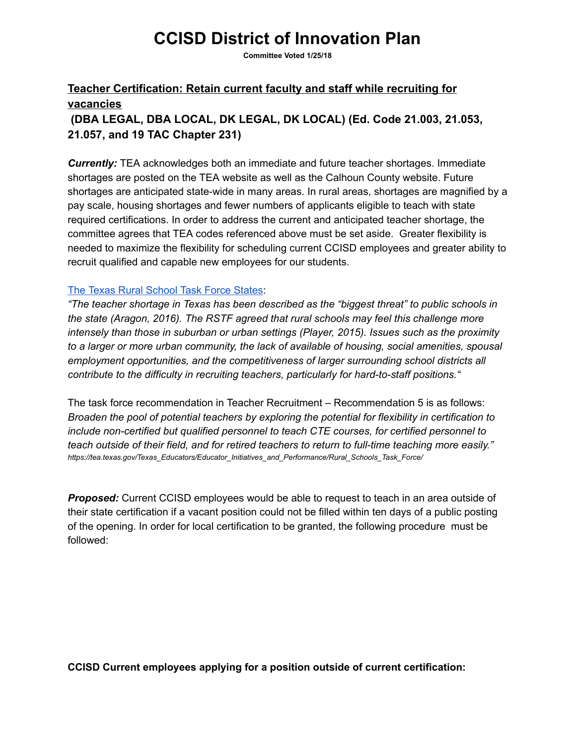Committee Voted 1/25/18

## Teacher Certification: Retain current faculty and staff while recruiting for vacancies

## (DBA LEGAL, DBA LOCAL, DK LEGAL, DK LOCAL) (Ed. Code 21.003, 21.053, 21.057, and 19 TAC Chapter 231)

**Currently:** TEA acknowledges both an immediate and future teacher shortages. Immediate shortages are posted on the TEA website as well as the Calhoun County website. Future shortages are anticipated state-wide in many areas. In rural areas, shortages are magnified by a pay scale, housing shortages and fewer numbers of applicants eligible to teach with state required certifications. In order to address the current and anticipated teacher shortage, the committee agrees that TEA codes referenced above must be set aside. Greater flexibility is needed to maximize the flexibility for scheduling current CCISD employees and greater ability to recruit qualified and capable new employees for our students.

### The Texas Rural [School](https://tea.texas.gov/Texas_Educators/Educator_Initiatives_and_Performance/Rural_Schools_Task_Force/) Task Force States:

"The teacher shortage in Texas has been described as the "biggest threat" to public schools in the state (Aragon, 2016). The RSTF agreed that rural schools may feel this challenge more intensely than those in suburban or urban settings (Player, 2015). Issues such as the proximity to a larger or more urban community, the lack of available of housing, social amenities, spousal employment opportunities, and the competitiveness of larger surrounding school districts all contribute to the difficulty in recruiting teachers, particularly for hard-to-staff positions."

The task force recommendation in Teacher Recruitment – Recommendation 5 is as follows: Broaden the pool of potential teachers by exploring the potential for flexibility in certification to include non-certified but qualified personnel to teach CTE courses, for certified personnel to teach outside of their field, and for retired teachers to return to full-time teaching more easily." https://tea.texas.gov/Texas\_Educators/Educator\_Initiatives\_and\_Performance/Rural\_Schools\_Task\_Force/

**Proposed:** Current CCISD employees would be able to request to teach in an area outside of their state certification if a vacant position could not be filled within ten days of a public posting of the opening. In order for local certification to be granted, the following procedure must be followed:

### CCISD Current employees applying for a position outside of current certification: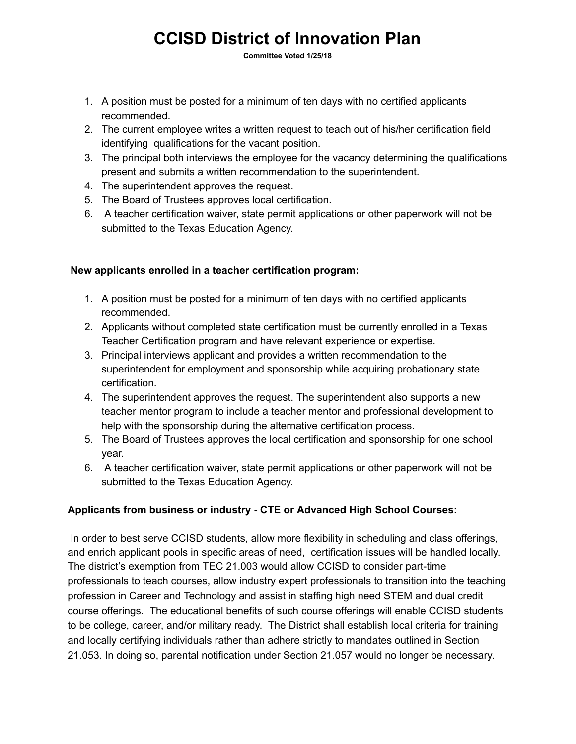Committee Voted 1/25/18

- 1. A position must be posted for a minimum of ten days with no certified applicants recommended.
- 2. The current employee writes a written request to teach out of his/her certification field identifying qualifications for the vacant position.
- 3. The principal both interviews the employee for the vacancy determining the qualifications present and submits a written recommendation to the superintendent.
- 4. The superintendent approves the request.
- 5. The Board of Trustees approves local certification.
- 6. A teacher certification waiver, state permit applications or other paperwork will not be submitted to the Texas Education Agency.

### New applicants enrolled in a teacher certification program:

- 1. A position must be posted for a minimum of ten days with no certified applicants recommended.
- 2. Applicants without completed state certification must be currently enrolled in a Texas Teacher Certification program and have relevant experience or expertise.
- 3. Principal interviews applicant and provides a written recommendation to the superintendent for employment and sponsorship while acquiring probationary state certification.
- 4. The superintendent approves the request. The superintendent also supports a new teacher mentor program to include a teacher mentor and professional development to help with the sponsorship during the alternative certification process.
- 5. The Board of Trustees approves the local certification and sponsorship for one school year.
- 6. A teacher certification waiver, state permit applications or other paperwork will not be submitted to the Texas Education Agency.

### Applicants from business or industry - CTE or Advanced High School Courses:

In order to best serve CCISD students, allow more flexibility in scheduling and class offerings, and enrich applicant pools in specific areas of need, certification issues will be handled locally. The district's exemption from TEC 21.003 would allow CCISD to consider part-time professionals to teach courses, allow industry expert professionals to transition into the teaching profession in Career and Technology and assist in staffing high need STEM and dual credit course offerings. The educational benefits of such course offerings will enable CCISD students to be college, career, and/or military ready. The District shall establish local criteria for training and locally certifying individuals rather than adhere strictly to mandates outlined in Section 21.053. In doing so, parental notification under Section 21.057 would no longer be necessary.